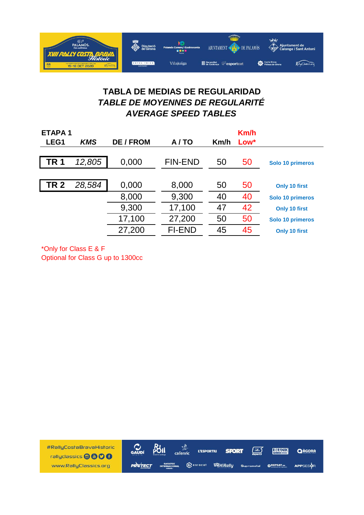

## **TABLA DE MEDIAS DE REGULARIDAD** *TABLE DE MOYENNES DE REGULARITÉ AVERAGE SPEED TABLES*

| <b>ETAPA1</b> |            |           |                |      | Km/h |                  |
|---------------|------------|-----------|----------------|------|------|------------------|
| LEG1          | <b>KMS</b> | DE / FROM | A/TO           | Km/h | Low* |                  |
|               |            |           |                |      |      |                  |
| <b>TR1</b>    | 12,805     | 0,000     | <b>FIN-END</b> | 50   | 50   | Solo 10 primeros |
|               |            |           |                |      |      |                  |
| <b>TR 2</b>   | 28,584     | 0,000     | 8,000          | 50   | 50   | Only 10 first    |
|               |            | 8,000     | 9,300          | 40   | 40   | Solo 10 primeros |
|               |            | 9,300     | 17,100         | 47   | 42   | Only 10 first    |
|               |            | 17,100    | 27,200         | 50   | 50   | Solo 10 primeros |
|               |            | 27,200    | <b>FI-END</b>  | 45   | 45   | Only 10 first    |

\*Only for Class E & F

Optional for Class G up to 1300cc

BUI #RallyCostaBravaHistoric  $\mathcal{C}$ <sub>GAUDÍ</sub> گر<br>cal<sup>lenric</sup> 区 **BLUNIK L'ESPORTIU SPORT** QAGORA rallyclassics @@OO  $Q$  enracat www.RallyClassics.org **PRSTECT SAMIRally OREPEAT.es** APPSESOR Supra etal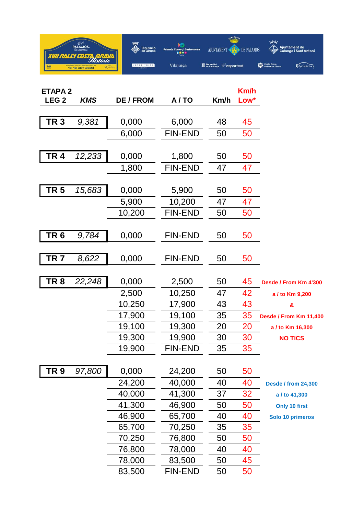

| <b>ETAPA2</b>    |            |                |                |      | <b>Km/h</b> |                            |
|------------------|------------|----------------|----------------|------|-------------|----------------------------|
| LEG <sub>2</sub> | <b>KMS</b> | <b>DE/FROM</b> | A/TO           | Km/h | Low*        |                            |
| TR <sub>3</sub>  | 9,381      | 0,000          | 6,000          | 48   | 45          |                            |
|                  |            | 6,000          | <b>FIN-END</b> | 50   | 50          |                            |
| <b>TR4</b>       | 12,233     | 0,000          | 1,800          | 50   | 50          |                            |
|                  |            | 1,800          | <b>FIN-END</b> | 47   | 47          |                            |
| TR 5             |            |                | 5,900          | 50   |             |                            |
|                  | 15,683     | 0,000          |                |      | 50          |                            |
|                  |            | 5,900          | 10,200         | 47   | 47          |                            |
|                  |            | 10,200         | <b>FIN-END</b> | 50   | 50          |                            |
| TR <sub>6</sub>  | 9,784      | 0,000          | <b>FIN-END</b> | 50   | 50          |                            |
| TR <sub>7</sub>  | 8,622      | 0,000          | <b>FIN-END</b> | 50   | 50          |                            |
| TR <sub>8</sub>  | 22,248     | 0,000          | 2,500          | 50   | 45          | Desde / From Km 4'300      |
|                  |            | 2,500          | 10,250         | 47   | 42          | a / to Km 9,200            |
|                  |            | 10,250         | 17,900         | 43   | 43          | &                          |
|                  |            | 17,900         | 19,100         | 35   | 35          | Desde / From Km 11,400     |
|                  |            | 19,100         | 19,300         | 20   | 20          | a / to Km 16,300           |
|                  |            | 19,300         | 19,900         | 30   | 30          | <b>NO TICS</b>             |
|                  |            | 19,900         | <b>FIN-END</b> | 35   | 35          |                            |
| TR 9             | 97,800     | 0,000          | 24,200         | 50   | 50          |                            |
|                  |            | 24,200         | 40,000         | 40   | 40          | <b>Desde / from 24,300</b> |
|                  |            | 40,000         | 41,300         | 37   | 32          | a / to 41,300              |
|                  |            | 41,300         | 46,900         | 50   | 50          | <b>Only 10 first</b>       |
|                  |            | 46,900         | 65,700         | 40   | 40          | Solo 10 primeros           |
|                  |            | 65,700         | 70,250         | 35   | 35          |                            |
|                  |            | 70,250         | 76,800         | 50   | 50          |                            |
|                  |            | 76,800         | 78,000         | 40   | 40          |                            |
|                  |            | 78,000         | 83,500         | 50   | 45          |                            |
|                  |            | 83,500         | <b>FIN-END</b> | 50   | 50          |                            |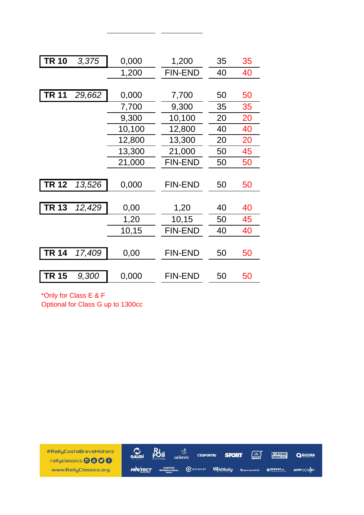| <b>TR 10</b> | 3,375  | 0,000  | 1,200          | 35 | 35 |
|--------------|--------|--------|----------------|----|----|
|              |        | 1,200  | <b>FIN-END</b> | 40 | 40 |
|              |        |        |                |    |    |
| TR 11        | 29,662 | 0,000  | 7,700          | 50 | 50 |
|              |        | 7,700  | 9,300          | 35 | 35 |
|              |        | 9,300  | 10,100         | 20 | 20 |
|              |        | 10,100 | 12,800         | 40 | 40 |
|              |        | 12,800 | 13,300         | 20 | 20 |
|              |        | 13,300 | 21,000         | 50 | 45 |
|              |        | 21,000 | <b>FIN-END</b> | 50 | 50 |
|              |        |        |                |    |    |
| <b>TR 12</b> | 13,526 | 0,000  | <b>FIN-END</b> | 50 | 50 |
|              |        |        |                |    |    |
| <b>TR 13</b> | 12,429 | 0,00   | 1,20           | 40 | 40 |
|              |        | 1,20   | 10,15          | 50 | 45 |
|              |        | 10,15  | <b>FIN-END</b> | 40 | 40 |
|              |        |        |                |    |    |
| <b>TR 14</b> | 17,409 | 0,00   | <b>FIN-END</b> | 50 | 50 |
|              |        |        |                |    |    |
| TR 15        | 9,300  | 0,000  | <b>FIN-END</b> | 50 | 50 |
|              |        |        |                |    |    |

\*Only for Class E & F Optional for Class G up to 1300cc

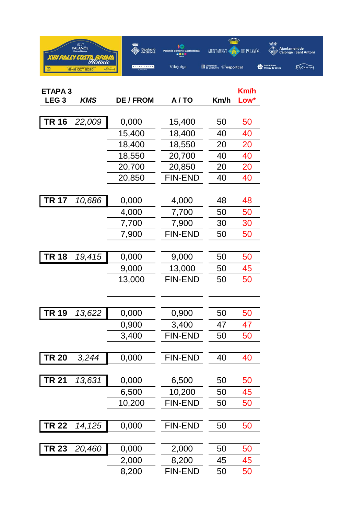

| <b>ETAPA3</b>    |            |                |                | Km/h |      |
|------------------|------------|----------------|----------------|------|------|
| LEG <sub>3</sub> | <b>KMS</b> | <b>DE/FROM</b> | A/TO           | Km/h | Low* |
|                  |            |                |                |      |      |
| <b>TR 16</b>     | 22,009     | 0,000          | 15,400         | 50   | 50   |
|                  |            | 15,400         | 18,400         | 40   | 40   |
|                  |            | 18,400         | 18,550         | 20   | 20   |
|                  |            | 18,550         | 20,700         | 40   | 40   |
|                  |            | 20,700         | 20,850         | 20   | 20   |
|                  |            | 20,850         | <b>FIN-END</b> | 40   | 40   |
| <b>TR 17</b>     | 10,686     | 0,000          | 4,000          | 48   | 48   |
|                  |            | 4,000          | 7,700          | 50   | 50   |
|                  |            | 7,700          | 7,900          | 30   | 30   |
|                  |            | 7,900          | <b>FIN-END</b> | 50   | 50   |
|                  |            |                |                |      |      |
| <b>TR 18</b>     | 19,415     | 0,000          | 9,000          | 50   | 50   |
|                  |            | 9,000          | 13,000         | 50   | 45   |
|                  |            | 13,000         | <b>FIN-END</b> | 50   | 50   |
|                  |            |                |                |      |      |
| <b>TR 19</b>     |            |                |                | 50   |      |
|                  | 13,622     | 0,000          | 0,900          |      | 50   |
|                  |            | 0,900          | 3,400          | 47   | 47   |
|                  |            | 3,400          | <b>FIN-END</b> | 50   | 50   |
| <b>TR 20</b>     | 3,244      | 0,000          | <b>FIN-END</b> | 40   | 40   |
|                  |            |                |                |      |      |
| <b>TR 21</b>     | 13,631     | 0,000          | 6,500          | 50   | 50   |
|                  |            | 6,500          | 10,200         | 50   | 45   |
|                  |            | 10,200         | <b>FIN-END</b> | 50   | 50   |
|                  |            |                | <b>FIN-END</b> |      |      |
| <b>TR 22</b>     | 14,125     | 0,000          |                | 50   | 50   |
| <b>TR 23</b>     | 20,460     | 0,000          | 2,000          | 50   | 50   |
|                  |            | 2,000          | 8,200          | 45   | 45   |
|                  |            | 8,200          | <b>FIN-END</b> | 50   | 50   |